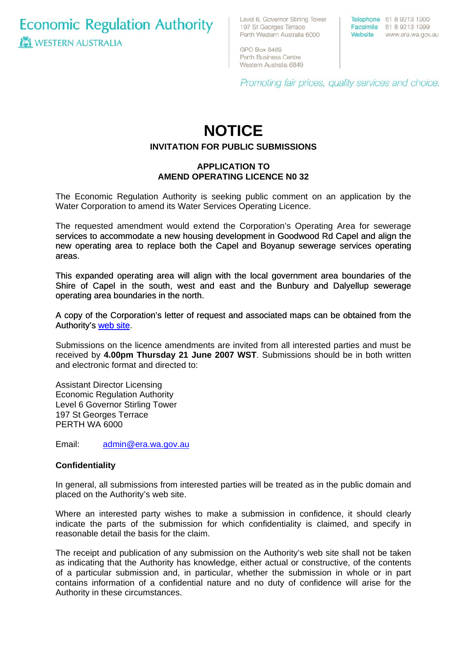**Economic Regulation Authority WESTERN AUSTRALIA** 

Level 6, Governor Stirling Tower 197 St Georges Terrace Perth Western Australia 6000

Telephone 61 8 9213 1900 Facsimile 61 8 9213 1999 Website www.era.wa.gov.au

GPO Box 8469 Perth Business Centre Western Australia 6849

Promoting fair prices, quality services and choice.

# **NOTICE**

## **INVITATION FOR PUBLIC SUBMISSIONS**

### **APPLICATION TO AMEND OPERATING LICENCE N0 32**

The Economic Regulation Authority is seeking public comment on an application by the Water Corporation to amend its Water Services Operating Licence.

The requested amendment would extend the Corporation's Operating Area for sewerage services to accommodate a new housing development in Goodwood Rd Capel and align the new operating area to replace both the Capel and Boyanup sewerage services operating areas.

This expanded operating area will align with the local government area boundaries of the Shire of Capel in the south, west and east and the Bunbury and Dalyellup sewerage operating area boundaries in the north.

[A copy of the Corporation's letter of request and associated maps can be obtained from the](http://www.era.wa.gov.au/cproot/5633/25250/20070510%20Water%20Corp%20-%20Capel%20Sewerage%20Operating%20Area%20Proposed%20Extension.pdf)  [Authority's web site.](http://www.era.wa.gov.au/cproot/5633/25250/20070510%20Water%20Corp%20-%20Capel%20Sewerage%20Operating%20Area%20Proposed%20Extension.pdf)

Submissions on the licence amendments are invited from all interested parties and must be received by **4.00pm Thursday 21 June 2007 WST**. Submissions should be in both written and electronic format and directed to:

Assistant Director Licensing Economic Regulation Authority Level 6 Governor Stirling Tower 197 St Georges Terrace PERTH WA 6000

Email: [admin@era.wa.gov.au](mailto:admin@era.wa.gov.au) 

#### **Confidentiality**

In general, all submissions from interested parties will be treated as in the public domain and placed on the Authority's web site.

Where an interested party wishes to make a submission in confidence, it should clearly indicate the parts of the submission for which confidentiality is claimed, and specify in reasonable detail the basis for the claim.

The receipt and publication of any submission on the Authority's web site shall not be taken as indicating that the Authority has knowledge, either actual or constructive, of the contents of a particular submission and, in particular, whether the submission in whole or in part contains information of a confidential nature and no duty of confidence will arise for the Authority in these circumstances.